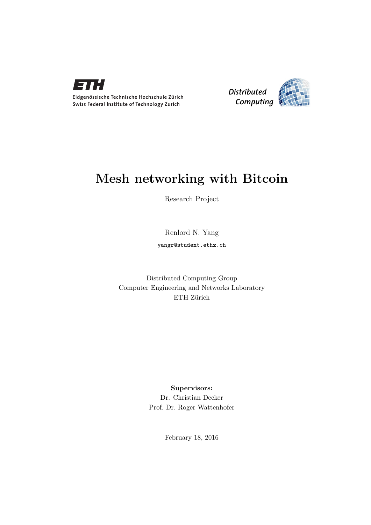



# Mesh networking with Bitcoin

Research Project

Renlord N. Yang yangr@student.ethz.ch

Distributed Computing Group Computer Engineering and Networks Laboratory ETH Zürich

> Supervisors: Dr. Christian Decker Prof. Dr. Roger Wattenhofer

> > February 18, 2016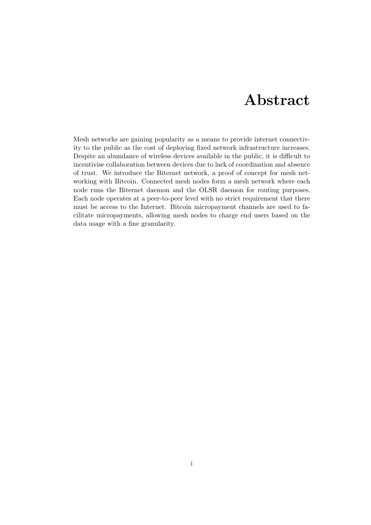# Abstract

<span id="page-1-0"></span>Mesh networks are gaining popularity as a means to provide internet connectivity to the public as the cost of deploying fixed network infrastructure increases. Despite an abundance of wireless devices available in the public, it is difficult to incentivise collaboration between devices due to lack of coordination and absence of trust. We introduce the Biternet network, a proof of concept for mesh networking with Bitcoin. Connected mesh nodes form a mesh network where each node runs the Biternet daemon and the OLSR daemon for routing purposes. Each node operates at a peer-to-peer level with no strict requirement that there must be access to the Internet. Bitcoin micropayment channels are used to facilitate micropayments, allowing mesh nodes to charge end users based on the data usage with a fine granularity.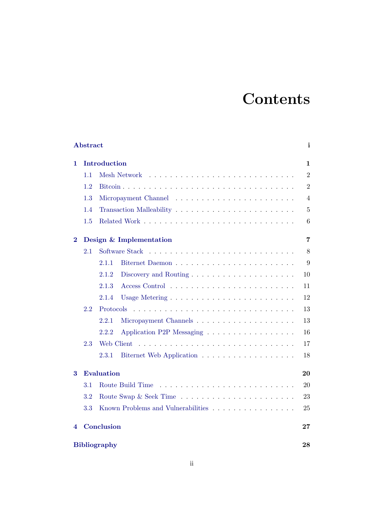# **Contents**

| Abstract            |                   |                                    | i              |
|---------------------|-------------------|------------------------------------|----------------|
| 1                   |                   | Introduction                       | 1              |
|                     | 1.1               | Mesh Network                       | $\overline{2}$ |
|                     | 1.2               |                                    | $\overline{2}$ |
|                     | 1.3               |                                    | $\overline{4}$ |
|                     | 1.4               |                                    | $\overline{5}$ |
|                     | 1.5               |                                    | 6              |
| $\bf{2}$            |                   | Design & Implementation            | $\overline{7}$ |
|                     | 2.1               | Software Stack                     | 8              |
|                     |                   | 2.1.1                              | 9              |
|                     |                   | 2.1.2                              | 10             |
|                     |                   | 2.1.3                              | 11             |
|                     |                   | 2.1.4                              | 12             |
|                     | 2.2               | Protocols                          | 13             |
|                     |                   | 2.2.1                              | 13             |
|                     |                   | 2.2.2<br>Application P2P Messaging | 16             |
|                     | 2.3               | Web Client                         | 17             |
|                     |                   | 2.3.1                              | 18             |
| 3                   | <b>Evaluation</b> |                                    |                |
|                     | 3.1               | Route Build Time                   | 20             |
|                     | 3.2               |                                    | 23             |
|                     | 3.3               | Known Problems and Vulnerabilities | 25             |
| 4                   |                   | Conclusion                         | 27             |
| <b>Bibliography</b> |                   |                                    | 28             |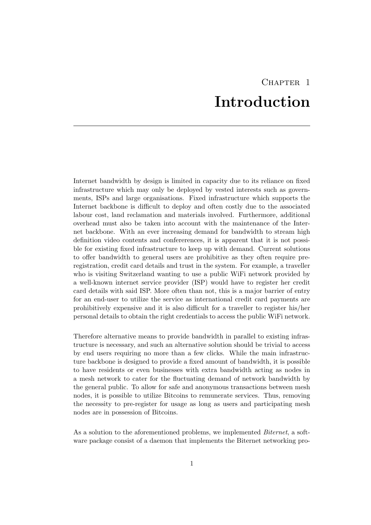# CHAPTER<sub>1</sub> Introduction

<span id="page-3-0"></span>Internet bandwidth by design is limited in capacity due to its reliance on fixed infrastructure which may only be deployed by vested interests such as governments, ISPs and large organisations. Fixed infrastructure which supports the Internet backbone is difficult to deploy and often costly due to the associated labour cost, land reclamation and materials involved. Furthermore, additional overhead must also be taken into account with the maintenance of the Internet backbone. With an ever increasing demand for bandwidth to stream high definition video contents and confererences, it is apparent that it is not possible for existing fixed infrastructure to keep up with demand. Current solutions to offer bandwidth to general users are prohibitive as they often require preregistration, credit card details and trust in the system. For example, a traveller who is visiting Switzerland wanting to use a public WiFi network provided by a well-known internet service provider (ISP) would have to register her credit card details with said ISP. More often than not, this is a major barrier of entry for an end-user to utilize the service as international credit card payments are prohibitively expensive and it is also difficult for a traveller to register his/her personal details to obtain the right credentials to access the public WiFi network.

Therefore alternative means to provide bandwidth in parallel to existing infrastructure is necessary, and such an alternative solution should be trivial to access by end users requiring no more than a few clicks. While the main infrastructure backbone is designed to provide a fixed amount of bandwidth, it is possible to have residents or even businesses with extra bandwidth acting as nodes in a mesh network to cater for the fluctuating demand of network bandwidth by the general public. To allow for safe and anonymous transactions between mesh nodes, it is possible to utilize Bitcoins to remunerate services. Thus, removing the necessity to pre-register for usage as long as users and participating mesh nodes are in possession of Bitcoins.

As a solution to the aforementioned problems, we implemented *Biternet*, a software package consist of a daemon that implements the Biternet networking pro-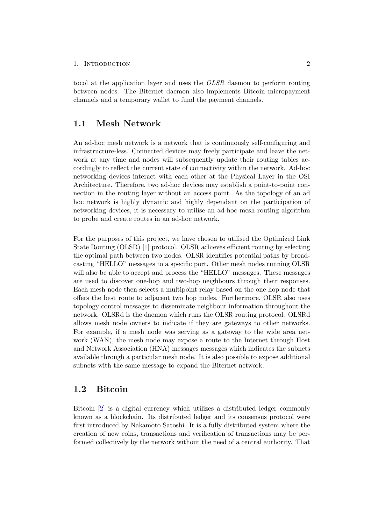tocol at the application layer and uses the *OLSR* daemon to perform routing between nodes. The Biternet daemon also implements Bitcoin micropayment channels and a temporary wallet to fund the payment channels.

### <span id="page-4-0"></span>1.1 Mesh Network

An ad-hoc mesh network is a network that is continuously self-configuring and infrastructure-less. Connected devices may freely participate and leave the network at any time and nodes will subsequently update their routing tables accordingly to reflect the current state of connectivity within the network. Ad-hoc networking devices interact with each other at the Physical Layer in the OSI Architecture. Therefore, two ad-hoc devices may establish a point-to-point connection in the routing layer without an access point. As the topology of an ad hoc network is highly dynamic and highly dependant on the participation of networking devices, it is necessary to utilise an ad-hoc mesh routing algorithm to probe and create routes in an ad-hoc network.

For the purposes of this project, we have chosen to utilised the Optimized Link State Routing (OLSR) [\[1\]](#page-30-1) protocol. OLSR achieves efficient routing by selecting the optimal path between two nodes. OLSR identifies potential paths by broadcasting "HELLO" messages to a specific port. Other mesh nodes running OLSR will also be able to accept and process the "HELLO" messages. These messages are used to discover one-hop and two-hop neighbours through their responses. Each mesh node then selects a multipoint relay based on the one hop node that offers the best route to adjacent two hop nodes. Furthermore, OLSR also uses topology control messages to disseminate neighbour information throughout the network. OLSRd is the daemon which runs the OLSR routing protocol. OLSRd allows mesh node owners to indicate if they are gateways to other networks. For example, if a mesh node was serving as a gateway to the wide area network (WAN), the mesh node may expose a route to the Internet through Host and Network Association (HNA) messages messages which indicates the subnets available through a particular mesh node. It is also possible to expose additional subnets with the same message to expand the Biternet network.

### <span id="page-4-1"></span>1.2 Bitcoin

Bitcoin [\[2\]](#page-30-2) is a digital currency which utilizes a distributed ledger commonly known as a blockchain. Its distributed ledger and its consensus protocol were first introduced by Nakamoto Satoshi. It is a fully distributed system where the creation of new coins, transactions and verification of transactions may be performed collectively by the network without the need of a central authority. That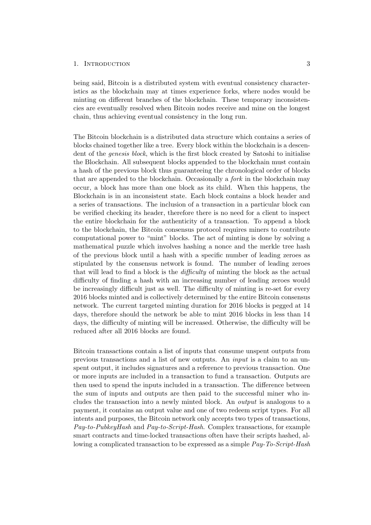being said, Bitcoin is a distributed system with eventual consistency characteristics as the blockchain may at times experience forks, where nodes would be minting on different branches of the blockchain. These temporary inconsistencies are eventually resolved when Bitcoin nodes receive and mine on the longest chain, thus achieving eventual consistency in the long run.

The Bitcoin blockchain is a distributed data structure which contains a series of blocks chained together like a tree. Every block within the blockchain is a descendent of the *genesis block*, which is the first block created by Satoshi to initialise the Blockchain. All subsequent blocks appended to the blockchain must contain a hash of the previous block thus guaranteeing the chronological order of blocks that are appended to the blockchain. Occasionally a *fork* in the blockchain may occur, a block has more than one block as its child. When this happens, the Blockchain is in an inconsistent state. Each block contains a block header and a series of transactions. The inclusion of a transaction in a particular block can be verified checking its header, therefore there is no need for a client to inspect the entire blockchain for the authenticity of a transaction. To append a block to the blockchain, the Bitcoin consensus protocol requires miners to contribute computational power to "mint" blocks. The act of minting is done by solving a mathematical puzzle which involves hashing a nonce and the merkle tree hash of the previous block until a hash with a specific number of leading zeroes as stipulated by the consensus network is found. The number of leading zeroes that will lead to find a block is the *diculty* of minting the block as the actual difficulty of finding a hash with an increasing number of leading zeroes would be increasingly difficult just as well. The difficulty of minting is re-set for every 2016 blocks minted and is collectively determined by the entire Bitcoin consensus network. The current targeted minting duration for 2016 blocks is pegged at 14 days, therefore should the network be able to mint 2016 blocks in less than 14 days, the difficulty of minting will be increased. Otherwise, the difficulty will be reduced after all 2016 blocks are found.

Bitcoin transactions contain a list of inputs that consume unspent outputs from previous transactions and a list of new outputs. An *input* is a claim to an unspent output, it includes signatures and a reference to previous transaction. One or more inputs are included in a transaction to fund a transaction. Outputs are then used to spend the inputs included in a transaction. The difference between the sum of inputs and outputs are then paid to the successful miner who includes the transaction into a newly minted block. An *output* is analogous to a payment, it contains an output value and one of two redeem script types. For all intents and purposes, the Bitcoin network only accepts two types of transactions, *Pay-to-PubkeyHash* and *Pay-to-Script-Hash*. Complex transactions, for example smart contracts and time-locked transactions often have their scripts hashed, allowing a complicated transaction to be expressed as a simple *Pay-To-Script-Hash*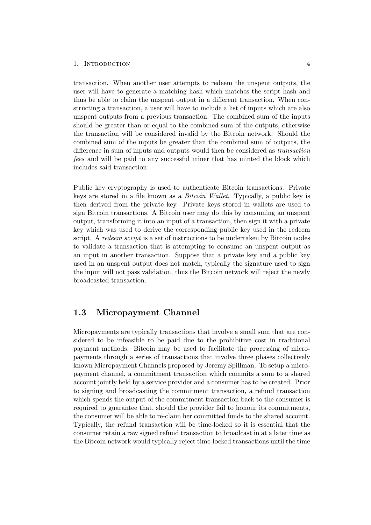transaction. When another user attempts to redeem the unspent outputs, the user will have to generate a matching hash which matches the script hash and thus be able to claim the unspent output in a different transaction. When constructing a transaction, a user will have to include a list of inputs which are also unspent outputs from a previous transaction. The combined sum of the inputs should be greater than or equal to the combined sum of the outputs, otherwise the transaction will be considered invalid by the Bitcoin network. Should the combined sum of the inputs be greater than the combined sum of outputs, the difference in sum of inputs and outputs would then be considered as *transaction fees* and will be paid to any successful miner that has minted the block which includes said transaction.

Public key cryptography is used to authenticate Bitcoin transactions. Private keys are stored in a file known as a *Bitcoin Wallet*. Typically, a public key is then derived from the private key. Private keys stored in wallets are used to sign Bitcoin transactions. A Bitcoin user may do this by consuming an unspent output, transforming it into an input of a transaction, then sign it with a private key which was used to derive the corresponding public key used in the redeem script. A *redeem script* is a set of instructions to be undertaken by Bitcoin nodes to validate a transaction that is attempting to consume an unspent output as an input in another transaction. Suppose that a private key and a public key used in an unspent output does not match, typically the signature used to sign the input will not pass validation, thus the Bitcoin network will reject the newly broadcasted transaction.

### <span id="page-6-0"></span>1.3 Micropayment Channel

Micropayments are typically transactions that involve a small sum that are considered to be infeasible to be paid due to the prohibitive cost in traditional payment methods. Bitcoin may be used to facilitate the processing of micropayments through a series of transactions that involve three phases collectively known Micropayment Channels proposed by Jeremy Spillman. To setup a micropayment channel, a commitment transaction which commits a sum to a shared account jointly held by a service provider and a consumer has to be created. Prior to signing and broadcasting the commitment transaction, a refund transaction which spends the output of the commitment transaction back to the consumer is required to guarantee that, should the provider fail to honour its commitments, the consumer will be able to re-claim her committed funds to the shared account. Typically, the refund transaction will be time-locked so it is essential that the consumer retain a raw signed refund transaction to broadcast in at a later time as the Bitcoin network would typically reject time-locked transactions until the time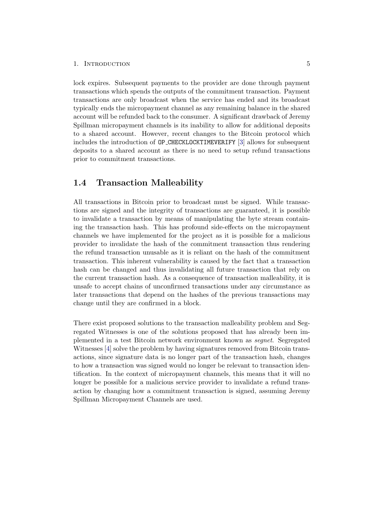lock expires. Subsequent payments to the provider are done through payment transactions which spends the outputs of the commitment transaction. Payment transactions are only broadcast when the service has ended and its broadcast typically ends the micropayment channel as any remaining balance in the shared account will be refunded back to the consumer. A significant drawback of Jeremy Spillman micropayment channels is its inability to allow for additional deposits to a shared account. However, recent changes to the Bitcoin protocol which includes the introduction of OP CHECKLOCKTIMEVERIFY [\[3\]](#page-30-3) allows for subsequent deposits to a shared account as there is no need to setup refund transactions prior to commitment transactions.

### <span id="page-7-0"></span>1.4 Transaction Malleability

All transactions in Bitcoin prior to broadcast must be signed. While transactions are signed and the integrity of transactions are guaranteed, it is possible to invalidate a transaction by means of manipulating the byte stream containing the transaction hash. This has profound side-effects on the micropayment channels we have implemented for the project as it is possible for a malicious provider to invalidate the hash of the commitment transaction thus rendering the refund transaction unusable as it is reliant on the hash of the commitment transaction. This inherent vulnerability is caused by the fact that a transaction hash can be changed and thus invalidating all future transaction that rely on the current transaction hash. As a consequence of transaction malleability, it is unsafe to accept chains of unconfirmed transactions under any circumstance as later transactions that depend on the hashes of the previous transactions may change until they are confirmed in a block.

There exist proposed solutions to the transaction malleability problem and Segregated Witnesses is one of the solutions proposed that has already been implemented in a test Bitcoin network environment known as *segnet*. Segregated Witnesses [\[4\]](#page-30-4) solve the problem by having signatures removed from Bitcoin transactions, since signature data is no longer part of the transaction hash, changes to how a transaction was signed would no longer be relevant to transaction identification. In the context of micropayment channels, this means that it will no longer be possible for a malicious service provider to invalidate a refund transaction by changing how a commitment transaction is signed, assuming Jeremy Spillman Micropayment Channels are used.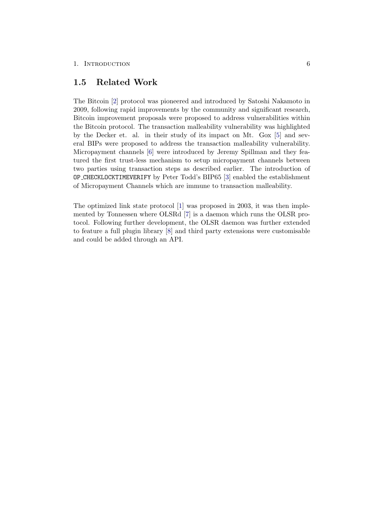### <span id="page-8-0"></span>1.5 Related Work

The Bitcoin [\[2\]](#page-30-2) protocol was pioneered and introduced by Satoshi Nakamoto in 2009, following rapid improvements by the community and significant research, Bitcoin improvement proposals were proposed to address vulnerabilities within the Bitcoin protocol. The transaction malleability vulnerability was highlighted by the Decker et. al. in their study of its impact on Mt. Gox [\[5\]](#page-30-5) and several BIPs were proposed to address the transaction malleability vulnerability. Micropayment channels [\[6\]](#page-30-6) were introduced by Jeremy Spillman and they featured the first trust-less mechanism to setup micropayment channels between two parties using transaction steps as described earlier. The introduction of OP CHECKLOCKTIMEVERIFY by Peter Todd's BIP65 [\[3\]](#page-30-3) enabled the establishment of Micropayment Channels which are immune to transaction malleability.

The optimized link state protocol [\[1\]](#page-30-1) was proposed in 2003, it was then implemented by Tonnessen where OLSRd [\[7\]](#page-30-7) is a daemon which runs the OLSR protocol. Following further development, the OLSR daemon was further extended to feature a full plugin library [\[8\]](#page-30-8) and third party extensions were customisable and could be added through an API.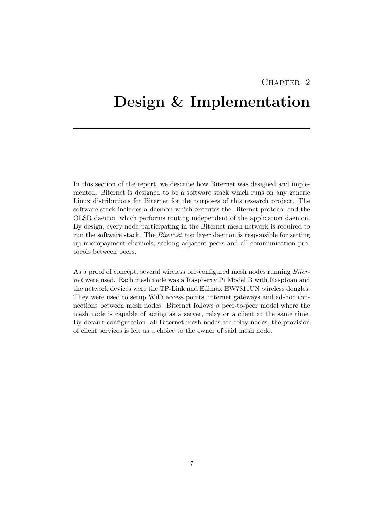# CHAPTER<sub>2</sub>

# <span id="page-9-0"></span>Design & Implementation

In this section of the report, we describe how Biternet was designed and implemented. Biternet is designed to be a software stack which runs on any generic Linux distributions for Biternet for the purposes of this research project. The software stack includes a daemon which executes the Biternet protocol and the OLSR daemon which performs routing independent of the application daemon. By design, every node participating in the Biternet mesh network is required to run the software stack. The *Biternet* top layer daemon is responsible for setting up micropayment channels, seeking adjacent peers and all communication protocols between peers.

As a proof of concept, several wireless pre-configured mesh nodes running *Biternet* were used. Each mesh node was a Raspberry Pi Model B with Raspbian and the network devices were the TP-Link and Edimax EW7811UN wireless dongles. They were used to setup WiFi access points, internet gateways and ad-hoc connections between mesh nodes. Biternet follows a peer-to-peer model where the mesh node is capable of acting as a server, relay or a client at the same time. By default configuration, all Biternet mesh nodes are relay nodes, the provision of client services is left as a choice to the owner of said mesh node.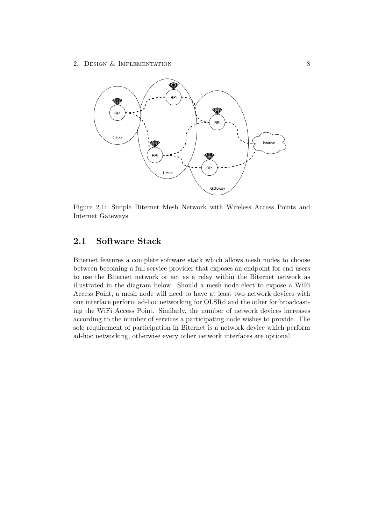

Figure 2.1: Simple Biternet Mesh Network with Wireless Access Points and Internet Gateways

# <span id="page-10-0"></span>2.1 Software Stack

Biternet features a complete software stack which allows mesh nodes to choose between becoming a full service provider that exposes an endpoint for end users to use the Biternet network or act as a relay within the Biternet network as illustrated in the diagram below. Should a mesh node elect to expose a WiFi Access Point, a mesh node will need to have at least two network devices with one interface perform ad-hoc networking for OLSRd and the other for broadcasting the WiFi Access Point. Similarly, the number of network devices increases according to the number of services a participating node wishes to provide. The sole requirement of participation in Biternet is a network device which perform ad-hoc networking, otherwise every other network interfaces are optional.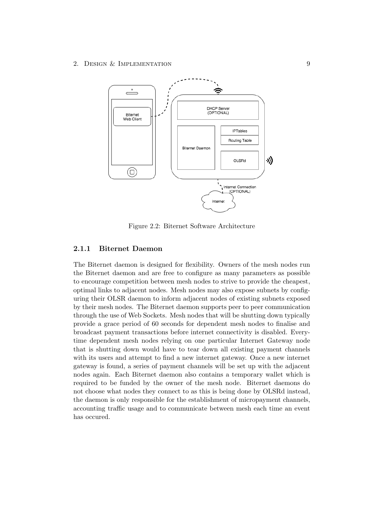2. DESIGN & IMPLEMENTATION 9



Figure 2.2: Biternet Software Architecture

#### <span id="page-11-0"></span>2.1.1 Biternet Daemon

The Biternet daemon is designed for flexibility. Owners of the mesh nodes run the Biternet daemon and are free to configure as many parameters as possible to encourage competition between mesh nodes to strive to provide the cheapest, optimal links to adjacent nodes. Mesh nodes may also expose subnets by configuring their OLSR daemon to inform adjacent nodes of existing subnets exposed by their mesh nodes. The Biternet daemon supports peer to peer communication through the use of Web Sockets. Mesh nodes that will be shutting down typically provide a grace period of 60 seconds for dependent mesh nodes to finalise and broadcast payment transactions before internet connectivity is disabled. Everytime dependent mesh nodes relying on one particular Internet Gateway node that is shutting down would have to tear down all existing payment channels with its users and attempt to find a new internet gateway. Once a new internet gateway is found, a series of payment channels will be set up with the adjacent nodes again. Each Biternet daemon also contains a temporary wallet which is required to be funded by the owner of the mesh node. Biternet daemons do not choose what nodes they connect to as this is being done by OLSRd instead, the daemon is only responsible for the establishment of micropayment channels, accounting traffic usage and to communicate between mesh each time an event has occured.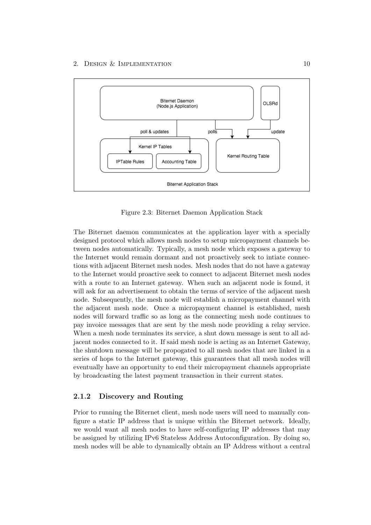

Figure 2.3: Biternet Daemon Application Stack

The Biternet daemon communicates at the application layer with a specially designed protocol which allows mesh nodes to setup micropayment channels between nodes automatically. Typically, a mesh node which exposes a gateway to the Internet would remain dormant and not proactively seek to intiate connections with adjacent Biternet mesh nodes. Mesh nodes that do not have a gateway to the Internet would proactive seek to connect to adjacent Biternet mesh nodes with a route to an Internet gateway. When such an adjacent node is found, it will ask for an advertisement to obtain the terms of service of the adjacent mesh node. Subsequently, the mesh node will establish a micropayment channel with the adjacent mesh node. Once a micropayment channel is established, mesh nodes will forward traffic so as long as the connecting mesh node continues to pay invoice messages that are sent by the mesh node providing a relay service. When a mesh node terminates its service, a shut down message is sent to all adjacent nodes connected to it. If said mesh node is acting as an Internet Gateway, the shutdown message will be propogated to all mesh nodes that are linked in a series of hops to the Internet gateway, this guarantees that all mesh nodes will eventually have an opportunity to end their micropayment channels appropriate by broadcasting the latest payment transaction in their current states.

#### <span id="page-12-0"></span>2.1.2 Discovery and Routing

Prior to running the Biternet client, mesh node users will need to manually configure a static IP address that is unique within the Biternet network. Ideally, we would want all mesh nodes to have self-configuring IP addresses that may be assigned by utilizing IPv6 Stateless Address Autoconfiguration. By doing so, mesh nodes will be able to dynamically obtain an IP Address without a central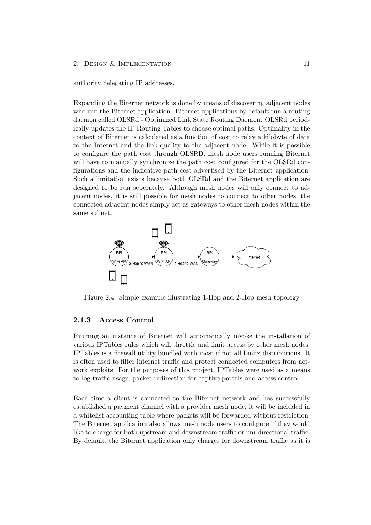#### 2. DESIGN & IMPLEMENTATION 11

authority delegating IP addresses.

Expanding the Biternet network is done by means of discovering adjacent nodes who run the Biternet application. Biternet applications by default run a routing daemon called OLSRd - Optimized Link State Routing Daemon. OLSRd periodically updates the IP Routing Tables to choose optimal paths. Optimality in the context of Biternet is calculated as a function of cost to relay a kilobyte of data to the Internet and the link quality to the adjacent node. While it is possible to configure the path cost through OLSRD, mesh node users running Biternet will have to manually synchronize the path cost configured for the OLSRd configurations and the indicative path cost advertised by the Biternet application. Such a limitation exists because both OLSRd and the Biternet application are designed to be run seperately. Although mesh nodes will only connect to adjacent nodes, it is still possible for mesh nodes to connect to other nodes, the connected adjacent nodes simply act as gateways to other mesh nodes within the same subnet.



Figure 2.4: Simple example illustrating 1-Hop and 2-Hop mesh topology

#### <span id="page-13-0"></span>2.1.3 Access Control

Running an instance of Biternet will automatically invoke the installation of various IPTables rules which will throttle and limit access by other mesh nodes. IPTables is a firewall utility bundled with most if not all Linux distributions. It is often used to filter internet traffic and protect connected computers from network exploits. For the purposes of this project, IPTables were used as a means to log traffic usage, packet redirection for captive portals and access control.

Each time a client is connected to the Biternet network and has successfully established a payment channel with a provider mesh node, it will be included in a whitelist accounting table where packets will be forwarded without restriction. The Biternet application also allows mesh node users to configure if they would like to charge for both upstream and downstream traffic or uni-directional traffic. By default, the Biternet application only charges for downstream traffic as it is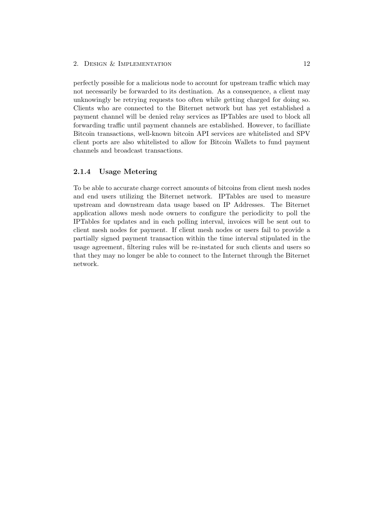perfectly possible for a malicious node to account for upstream traffic which may not necessarily be forwarded to its destination. As a consequence, a client may unknowingly be retrying requests too often while getting charged for doing so. Clients who are connected to the Biternet network but has yet established a payment channel will be denied relay services as IPTables are used to block all forwarding traffic until payment channels are established. However, to facilliate Bitcoin transactions, well-known bitcoin API services are whitelisted and SPV client ports are also whitelisted to allow for Bitcoin Wallets to fund payment channels and broadcast transactions.

#### <span id="page-14-0"></span>2.1.4 Usage Metering

To be able to accurate charge correct amounts of bitcoins from client mesh nodes and end users utilizing the Biternet network. IPTables are used to measure upstream and downstream data usage based on IP Addresses. The Biternet application allows mesh node owners to configure the periodicity to poll the IPTables for updates and in each polling interval, invoices will be sent out to client mesh nodes for payment. If client mesh nodes or users fail to provide a partially signed payment transaction within the time interval stipulated in the usage agreement, filtering rules will be re-instated for such clients and users so that they may no longer be able to connect to the Internet through the Biternet network.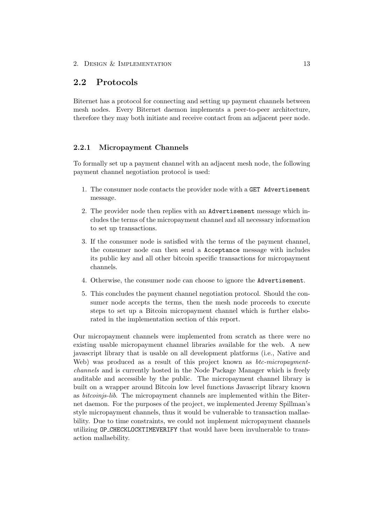# <span id="page-15-0"></span>2.2 Protocols

Biternet has a protocol for connecting and setting up payment channels between mesh nodes. Every Biternet daemon implements a peer-to-peer architecture, therefore they may both initiate and receive contact from an adjacent peer node.

#### <span id="page-15-1"></span>2.2.1 Micropayment Channels

To formally set up a payment channel with an adjacent mesh node, the following payment channel negotiation protocol is used:

- 1. The consumer node contacts the provider node with a GET Advertisement message.
- 2. The provider node then replies with an Advertisement message which includes the terms of the micropayment channel and all necessary information to set up transactions.
- 3. If the consumer node is satisfied with the terms of the payment channel, the consumer node can then send a Acceptance message with includes its public key and all other bitcoin specific transactions for micropayment channels.
- 4. Otherwise, the consumer node can choose to ignore the Advertisement.
- 5. This concludes the payment channel negotiation protocol. Should the consumer node accepts the terms, then the mesh node proceeds to execute steps to set up a Bitcoin micropayment channel which is further elaborated in the implementation section of this report.

Our micropayment channels were implemented from scratch as there were no existing usable micropayment channel libraries available for the web. A new javascript library that is usable on all development platforms (i.e., Native and Web) was produced as a result of this project known as *btc-micropaymentchannels* and is currently hosted in the Node Package Manager which is freely auditable and accessible by the public. The micropayment channel library is built on a wrapper around Bitcoin low level functions Javascript library known as *bitcoinjs-lib*. The micropayment channels are implemented within the Biternet daemon. For the purposes of the project, we implemented Jeremy Spillman's style micropayment channels, thus it would be vulnerable to transaction mallaebility. Due to time constraints, we could not implement micropayment channels utilizing OP CHECKLOCKTIMEVERIFY that would have been invulnerable to transaction mallaebility.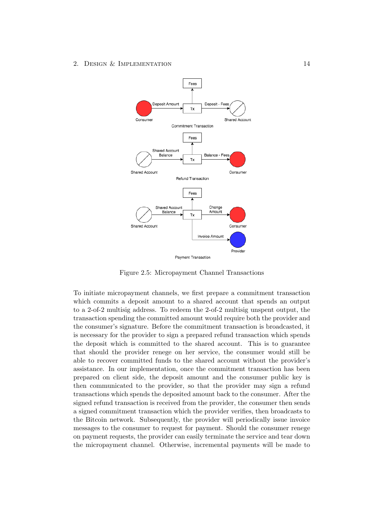

Figure 2.5: Micropayment Channel Transactions

To initiate micropayment channels, we first prepare a commitment transaction which commits a deposit amount to a shared account that spends an output to a 2-of-2 multisig address. To redeem the 2-of-2 multisig unspent output, the transaction spending the committed amount would require both the provider and the consumer's signature. Before the commitment transaction is broadcasted, it is necessary for the provider to sign a prepared refund transaction which spends the deposit which is committed to the shared account. This is to guarantee that should the provider renege on her service, the consumer would still be able to recover committed funds to the shared account without the provider's assistance. In our implementation, once the commitment transaction has been prepared on client side, the deposit amount and the consumer public key is then communicated to the provider, so that the provider may sign a refund transactions which spends the deposited amount back to the consumer. After the signed refund transaction is received from the provider, the consumer then sends a signed commitment transaction which the provider verifies, then broadcasts to the Bitcoin network. Subsequently, the provider will periodically issue invoice messages to the consumer to request for payment. Should the consumer renege on payment requests, the provider can easily terminate the service and tear down the micropayment channel. Otherwise, incremental payments will be made to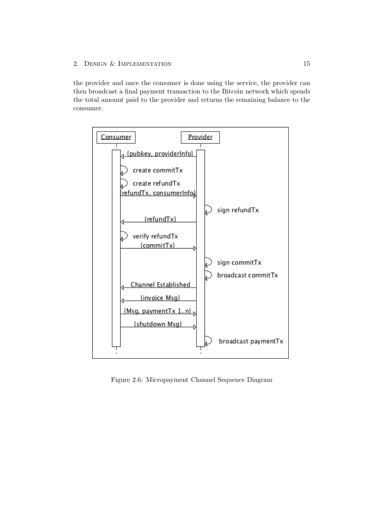### 2. DESIGN & IMPLEMENTATION 15

the provider and once the consumer is done using the service, the provider can then broadcast a final payment transaction to the Bitcoin network which spends the total amount paid to the provider and returns the remaining balance to the consumer.



Figure 2.6: Micropayment Channel Sequence Diagram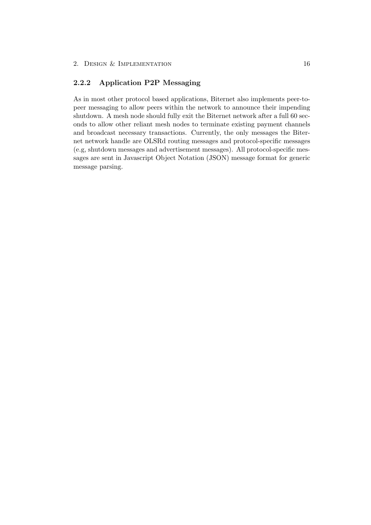### <span id="page-18-0"></span>2.2.2 Application P2P Messaging

As in most other protocol based applications, Biternet also implements peer-topeer messaging to allow peers within the network to announce their impending shutdown. A mesh node should fully exit the Biternet network after a full 60 seconds to allow other reliant mesh nodes to terminate existing payment channels and broadcast necessary transactions. Currently, the only messages the Biternet network handle are OLSRd routing messages and protocol-specific messages (e.g, shutdown messages and advertisement messages). All protocol-specific messages are sent in Javascript Object Notation (JSON) message format for generic message parsing.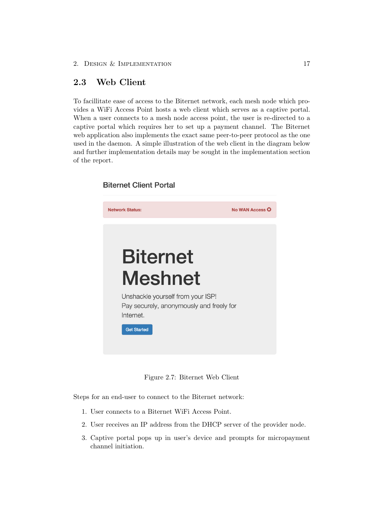**Biternet Client Portal** 

# <span id="page-19-0"></span>2.3 Web Client

To facillitate ease of access to the Biternet network, each mesh node which provides a WiFi Access Point hosts a web client which serves as a captive portal. When a user connects to a mesh node access point, the user is re-directed to a captive portal which requires her to set up a payment channel. The Biternet web application also implements the exact same peer-to-peer protocol as the one used in the daemon. A simple illustration of the web client in the diagram below and further implementation details may be sought in the implementation section of the report.

# **Network Status:** No WAN Access O **Biternet Meshnet** Unshackle yourself from your ISP! Pay securely, anonymously and freely for Internet. **Get Started**

Figure 2.7: Biternet Web Client

Steps for an end-user to connect to the Biternet network:

- 1. User connects to a Biternet WiFi Access Point.
- 2. User receives an IP address from the DHCP server of the provider node.
- 3. Captive portal pops up in user's device and prompts for micropayment channel initiation.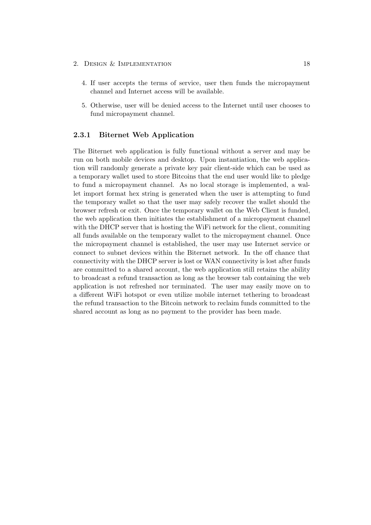- 2. DESIGN & IMPLEMENTATION 18
	- 4. If user accepts the terms of service, user then funds the micropayment channel and Internet access will be available.
	- 5. Otherwise, user will be denied access to the Internet until user chooses to fund micropayment channel.

#### <span id="page-20-0"></span>2.3.1 Biternet Web Application

The Biternet web application is fully functional without a server and may be run on both mobile devices and desktop. Upon instantiation, the web application will randomly generate a private key pair client-side which can be used as a temporary wallet used to store Bitcoins that the end user would like to pledge to fund a micropayment channel. As no local storage is implemented, a wallet import format hex string is generated when the user is attempting to fund the temporary wallet so that the user may safely recover the wallet should the browser refresh or exit. Once the temporary wallet on the Web Client is funded, the web application then initiates the establishment of a micropayment channel with the DHCP server that is hosting the WiFi network for the client, commiting all funds available on the temporary wallet to the micropayment channel. Once the micropayment channel is established, the user may use Internet service or connect to subnet devices within the Biternet network. In the off chance that connectivity with the DHCP server is lost or WAN connectivity is lost after funds are committed to a shared account, the web application still retains the ability to broadcast a refund transaction as long as the browser tab containing the web application is not refreshed nor terminated. The user may easily move on to a different WiFi hotspot or even utilize mobile internet tethering to broadcast the refund transaction to the Bitcoin network to reclaim funds committed to the shared account as long as no payment to the provider has been made.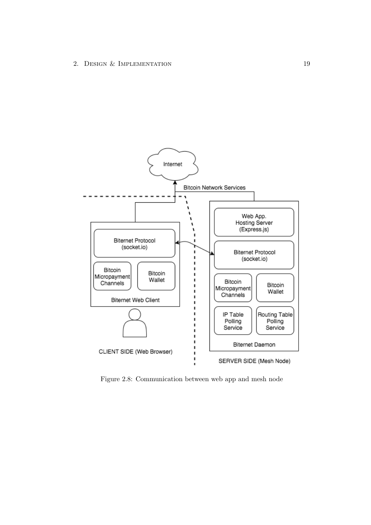

Figure 2.8: Communication between web app and mesh node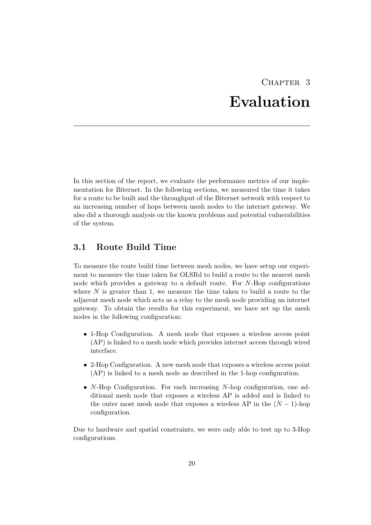# CHAPTER<sub>3</sub> Evaluation

<span id="page-22-0"></span>In this section of the report, we evaluate the performance metrics of our implementation for Biternet. In the following sections, we measured the time it takes for a route to be built and the throughput of the Biternet network with respect to an increasing number of hops between mesh nodes to the internet gateway. We also did a thorough analysis on the known problems and potential vulnerabilities of the system.

# <span id="page-22-1"></span>3.1 Route Build Time

To measure the route build time between mesh nodes, we have setup our experiment to measure the time taken for OLSRd to build a route to the nearest mesh node which provides a gateway to a default route. For *N*-Hop configurations where N is greater than 1, we measure the time taken to build a route to the adjacent mesh node which acts as a relay to the mesh node providing an internet gateway. To obtain the results for this experiment, we have set up the mesh nodes in the following configuration:

- 1-Hop Configuration. A mesh node that exposes a wireless access point (AP) is linked to a mesh node which provides internet access through wired interface.
- *•* 2-Hop Configuration. A new mesh node that exposes a wireless access point (AP) is linked to a mesh node as described in the 1-hop configuration.
- *• N*-Hop Configuration. For each increasing *N*-hop configuration, one additional mesh node that exposes a wireless AP is added and is linked to the outer most mesh node that exposes a wireless AP in the  $(N-1)$ -hop configuration.

Due to hardware and spatial constraints, we were only able to test up to 3-Hop configurations.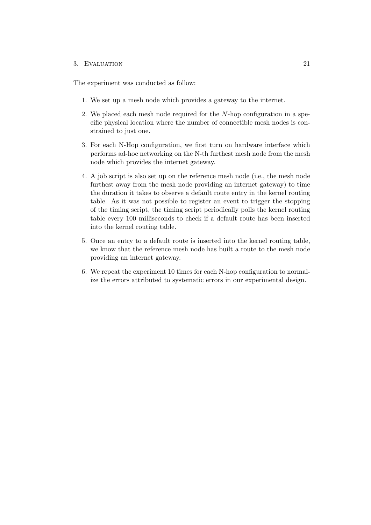#### 3. EVALUATION 21

The experiment was conducted as follow:

- 1. We set up a mesh node which provides a gateway to the internet.
- 2. We placed each mesh node required for the *N*-hop configuration in a specific physical location where the number of connectible mesh nodes is constrained to just one.
- 3. For each N-Hop configuration, we first turn on hardware interface which performs ad-hoc networking on the N-th furthest mesh node from the mesh node which provides the internet gateway.
- 4. A job script is also set up on the reference mesh node (i.e., the mesh node furthest away from the mesh node providing an internet gateway) to time the duration it takes to observe a default route entry in the kernel routing table. As it was not possible to register an event to trigger the stopping of the timing script, the timing script periodically polls the kernel routing table every 100 milliseconds to check if a default route has been inserted into the kernel routing table.
- 5. Once an entry to a default route is inserted into the kernel routing table, we know that the reference mesh node has built a route to the mesh node providing an internet gateway.
- 6. We repeat the experiment 10 times for each N-hop configuration to normalize the errors attributed to systematic errors in our experimental design.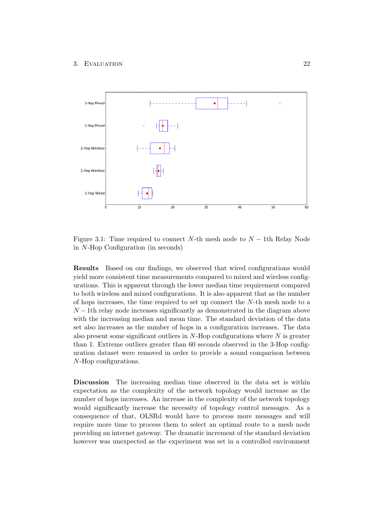

Figure 3.1: Time required to connect *N*-th mesh node to  $N-1$ th Relay Node in *N*-Hop Configuration (in seconds)

Results Based on our findings, we observed that wired configurations would yield more consistent time measurements compared to mixed and wireless configurations. This is apparent through the lower median time requirement compared to both wireless and mixed configurations. It is also apparent that as the number of hops increases, the time required to set up connect the *N*-th mesh node to a  $N-1$ th relay node increases significantly as demonstrated in the diagram above with the increasing median and mean time. The standard deviation of the data set also increases as the number of hops in a configuration increases. The data also present some significant outliers in *N*-Hop configurations where *N* is greater than 1. Extreme outliers greater than 60 seconds observed in the 3-Hop configuration dataset were removed in order to provide a sound comparison between *N*-Hop configurations.

Discussion The increasing median time observed in the data set is within expectation as the complexity of the network topology would increase as the number of hops increases. An increase in the complexity of the network topology would significantly increase the necessity of topology control messages. As a consequence of that, OLSRd would have to process more messages and will require more time to process them to select an optimal route to a mesh node providing an internet gateway. The dramatic increment of the standard deviation however was unexpected as the experiment was set in a controlled environment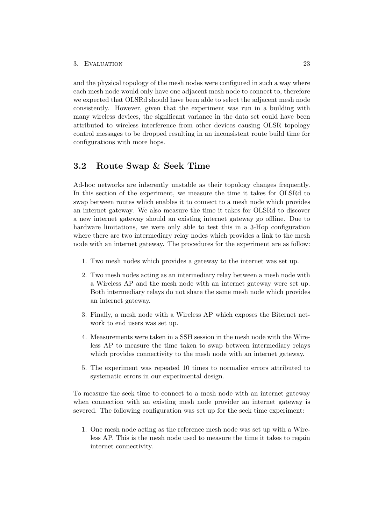and the physical topology of the mesh nodes were configured in such a way where each mesh node would only have one adjacent mesh node to connect to, therefore we expected that OLSRd should have been able to select the adjacent mesh node consistently. However, given that the experiment was run in a building with many wireless devices, the significant variance in the data set could have been attributed to wireless interference from other devices causing OLSR topology control messages to be dropped resulting in an inconsistent route build time for configurations with more hops.

### <span id="page-25-0"></span>3.2 Route Swap & Seek Time

Ad-hoc networks are inherently unstable as their topology changes frequently. In this section of the experiment, we measure the time it takes for OLSRd to swap between routes which enables it to connect to a mesh node which provides an internet gateway. We also measure the time it takes for OLSRd to discover a new internet gateway should an existing internet gateway go offline. Due to hardware limitations, we were only able to test this in a 3-Hop configuration where there are two intermediary relay nodes which provides a link to the mesh node with an internet gateway. The procedures for the experiment are as follow:

- 1. Two mesh nodes which provides a gateway to the internet was set up.
- 2. Two mesh nodes acting as an intermediary relay between a mesh node with a Wireless AP and the mesh node with an internet gateway were set up. Both intermediary relays do not share the same mesh node which provides an internet gateway.
- 3. Finally, a mesh node with a Wireless AP which exposes the Biternet network to end users was set up.
- 4. Measurements were taken in a SSH session in the mesh node with the Wireless AP to measure the time taken to swap between intermediary relays which provides connectivity to the mesh node with an internet gateway.
- 5. The experiment was repeated 10 times to normalize errors attributed to systematic errors in our experimental design.

To measure the seek time to connect to a mesh node with an internet gateway when connection with an existing mesh node provider an internet gateway is severed. The following configuration was set up for the seek time experiment:

1. One mesh node acting as the reference mesh node was set up with a Wireless AP. This is the mesh node used to measure the time it takes to regain internet connectivity.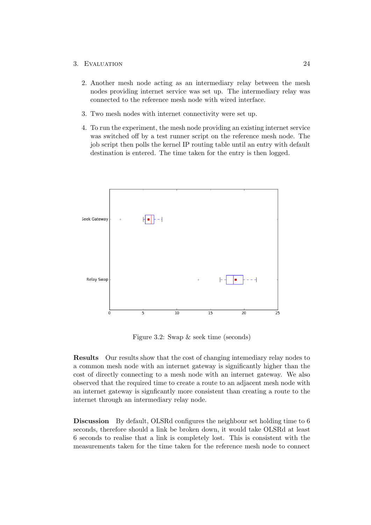#### 3. Evaluation 24

- 2. Another mesh node acting as an intermediary relay between the mesh nodes providing internet service was set up. The intermediary relay was connected to the reference mesh node with wired interface.
- 3. Two mesh nodes with internet connectivity were set up.
- 4. To run the experiment, the mesh node providing an existing internet service was switched off by a test runner script on the reference mesh node. The job script then polls the kernel IP routing table until an entry with default destination is entered. The time taken for the entry is then logged.



Figure 3.2: Swap & seek time (seconds)

Results Our results show that the cost of changing intemediary relay nodes to a common mesh node with an internet gateway is significantly higher than the cost of directly connecting to a mesh node with an internet gateway. We also observed that the required time to create a route to an adjacent mesh node with an internet gateway is signficantly more consistent than creating a route to the internet through an intermediary relay node.

Discussion By default, OLSRd configures the neighbour set holding time to 6 seconds, therefore should a link be broken down, it would take OLSRd at least 6 seconds to realise that a link is completely lost. This is consistent with the measurements taken for the time taken for the reference mesh node to connect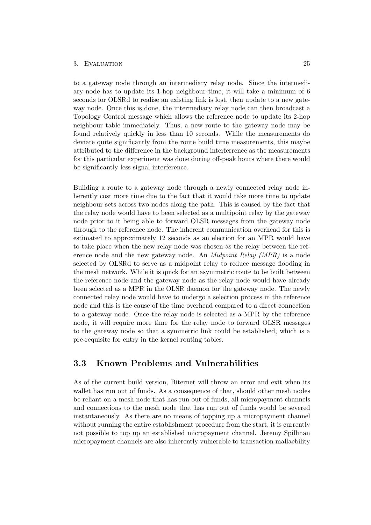#### 3. EVALUATION 25

to a gateway node through an intermediary relay node. Since the intermediary node has to update its 1-hop neighbour time, it will take a minimum of 6 seconds for OLSRd to realise an existing link is lost, then update to a new gateway node. Once this is done, the intermediary relay node can then broadcast a Topology Control message which allows the reference node to update its 2-hop neighbour table immediately. Thus, a new route to the gateway node may be found relatively quickly in less than 10 seconds. While the measurements do deviate quite significantly from the route build time measurements, this maybe attributed to the difference in the background interferrence as the measurements for this particular experiment was done during off-peak hours where there would be significantly less signal interference.

Building a route to a gateway node through a newly connected relay node inherently cost more time due to the fact that it would take more time to update neighbour sets across two nodes along the path. This is caused by the fact that the relay node would have to been selected as a multipoint relay by the gateway node prior to it being able to forward OLSR messages from the gateway node through to the reference node. The inherent communication overhead for this is estimated to approximately 12 seconds as an election for an MPR would have to take place when the new relay node was chosen as the relay between the reference node and the new gateway node. An *Midpoint Relay (MPR)* is a node selected by OLSRd to serve as a midpoint relay to reduce message flooding in the mesh network. While it is quick for an asymmetric route to be built between the reference node and the gateway node as the relay node would have already been selected as a MPR in the OLSR daemon for the gateway node. The newly connected relay node would have to undergo a selection process in the reference node and this is the cause of the time overhead compared to a direct connection to a gateway node. Once the relay node is selected as a MPR by the reference node, it will require more time for the relay node to forward OLSR messages to the gateway node so that a symmetric link could be established, which is a pre-requisite for entry in the kernel routing tables.

## <span id="page-27-0"></span>3.3 Known Problems and Vulnerabilities

As of the current build version, Biternet will throw an error and exit when its wallet has run out of funds. As a consequence of that, should other mesh nodes be reliant on a mesh node that has run out of funds, all micropayment channels and connections to the mesh node that has run out of funds would be severed instantaneously. As there are no means of topping up a micropayment channel without running the entire establishment procedure from the start, it is currently not possible to top up an established micropayment channel. Jeremy Spillman micropayment channels are also inherently vulnerable to transaction mallaebility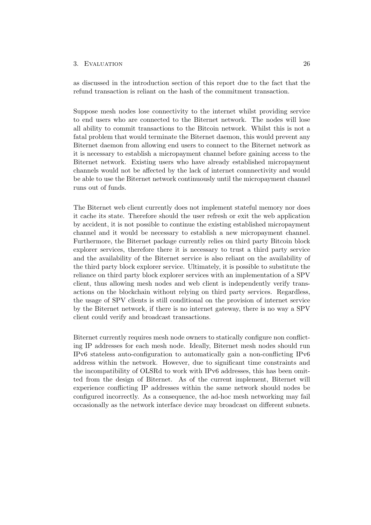#### 3. EVALUATION 26

as discussed in the introduction section of this report due to the fact that the refund transaction is reliant on the hash of the commitment transaction.

Suppose mesh nodes lose connectivity to the internet whilst providing service to end users who are connected to the Biternet network. The nodes will lose all ability to commit transactions to the Bitcoin network. Whilst this is not a fatal problem that would terminate the Biternet daemon, this would prevent any Biternet daemon from allowing end users to connect to the Biternet network as it is necessary to establish a micropayment channel before gaining access to the Biternet network. Existing users who have already established micropayment channels would not be affected by the lack of internet connnectivity and would be able to use the Biternet network continuously until the micropayment channel runs out of funds.

The Biternet web client currently does not implement stateful memory nor does it cache its state. Therefore should the user refresh or exit the web application by accident, it is not possible to continue the existing established micropayment channel and it would be necessary to establish a new micropayment channel. Furthermore, the Biternet package currently relies on third party Bitcoin block explorer services, therefore there it is necessary to trust a third party service and the availability of the Biternet service is also reliant on the availability of the third party block explorer service. Ultimately, it is possible to substitute the reliance on third party block explorer services with an implementation of a SPV client, thus allowing mesh nodes and web client is independently verify transactions on the blockchain without relying on third party services. Regardless, the usage of SPV clients is still conditional on the provision of internet service by the Biternet network, if there is no internet gateway, there is no way a SPV client could verify and broadcast transactions.

Biternet currently requires mesh node owners to statically configure non conflicting IP addresses for each mesh node. Ideally, Biternet mesh nodes should run IPv6 stateless auto-configuration to automatically gain a non-conflicting IPv6 address within the network. However, due to significant time constraints and the incompatibility of OLSRd to work with IPv6 addresses, this has been omitted from the design of Biternet. As of the current implement, Biternet will experience conflicting IP addresses within the same network should nodes be configured incorrectly. As a consequence, the ad-hoc mesh networking may fail occasionally as the network interface device may broadcast on different subnets.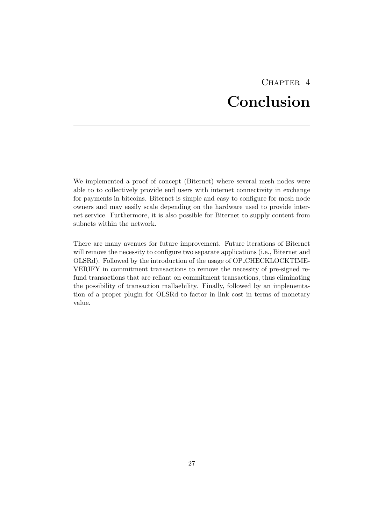# CHAPTER<sub>4</sub> Conclusion

<span id="page-29-0"></span>We implemented a proof of concept (Biternet) where several mesh nodes were able to to collectively provide end users with internet connectivity in exchange for payments in bitcoins. Biternet is simple and easy to configure for mesh node owners and may easily scale depending on the hardware used to provide internet service. Furthermore, it is also possible for Biternet to supply content from subnets within the network.

There are many avenues for future improvement. Future iterations of Biternet will remove the necessity to configure two separate applications (i.e., Biternet and OLSRd). Followed by the introduction of the usage of OP CHECKLOCKTIME-VERIFY in commitment transactions to remove the necessity of pre-signed refund transactions that are reliant on commitment transactions, thus eliminating the possibility of transaction mallaebility. Finally, followed by an implementation of a proper plugin for OLSRd to factor in link cost in terms of monetary value.